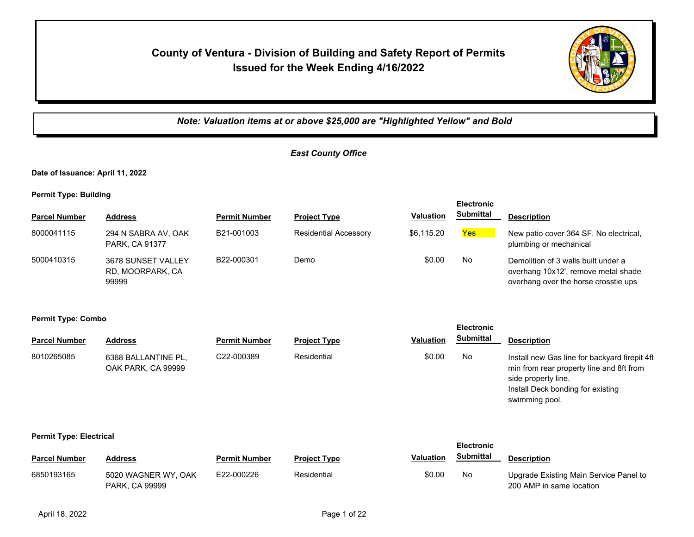# **County of Ventura - Division of Building and Safety Report of Permits Issued for the Week Ending 4/16/2022**



*Note: Valuation items at or above \$25,000 are "Highlighted Yellow" and Bold*

## *East County Office*

**Date of Issuance: April 11, 2022**

**Permit Type: Building**

| --                   |                                                 |                      |                              |                  | <b>Electronic</b> |                                                                                                                    |
|----------------------|-------------------------------------------------|----------------------|------------------------------|------------------|-------------------|--------------------------------------------------------------------------------------------------------------------|
| <b>Parcel Number</b> | <b>Address</b>                                  | <b>Permit Number</b> | <b>Project Type</b>          | <b>Valuation</b> | <b>Submittal</b>  | <b>Description</b>                                                                                                 |
| 8000041115           | 294 N SABRA AV, OAK<br>PARK, CA 91377           | B21-001003           | <b>Residential Accessory</b> | \$6.115.20       | Yes               | New patio cover 364 SF. No electrical,<br>plumbing or mechanical                                                   |
| 5000410315           | 3678 SUNSET VALLEY<br>RD, MOORPARK, CA<br>99999 | B22-000301           | Demo                         | \$0.00           | No.               | Demolition of 3 walls built under a<br>overhang 10x12', remove metal shade<br>overhang over the horse crosstie ups |

**Permit Type: Combo**

| <b>Parcel Number</b>           | <b>Address</b>                            | <b>Permit Number</b> | <b>Project Type</b> | <b>Valuation</b> | Submittal         | <b>Description</b>                                                                                                                                                      |
|--------------------------------|-------------------------------------------|----------------------|---------------------|------------------|-------------------|-------------------------------------------------------------------------------------------------------------------------------------------------------------------------|
| 8010265085                     | 6368 BALLANTINE PL,<br>OAK PARK, CA 99999 | C22-000389           | Residential         | \$0.00           | No                | Install new Gas line for backyard firepit 4ft<br>min from rear property line and 8ft from<br>side property line.<br>Install Deck bonding for existing<br>swimming pool. |
| <b>Permit Type: Electrical</b> |                                           |                      |                     |                  | <b>Electronic</b> |                                                                                                                                                                         |
| <b>Parcel Number</b>           | <b>Address</b>                            | <b>Permit Number</b> | <b>Project Type</b> | <b>Valuation</b> | <b>Submittal</b>  | <b>Description</b>                                                                                                                                                      |

**Electronic** 

| Parcel Number | Auuress               | Permit Number | Project TVDe | Valuation | ----------- | <b>Description</b>                     |
|---------------|-----------------------|---------------|--------------|-----------|-------------|----------------------------------------|
| 6850193165    | 5020 WAGNER WY, OAK   | E22-000226    | Residential  | \$0.00    | No          | Upgrade Existing Main Service Panel to |
|               | <b>PARK, CA 99999</b> |               |              |           |             | 200 AMP in same location               |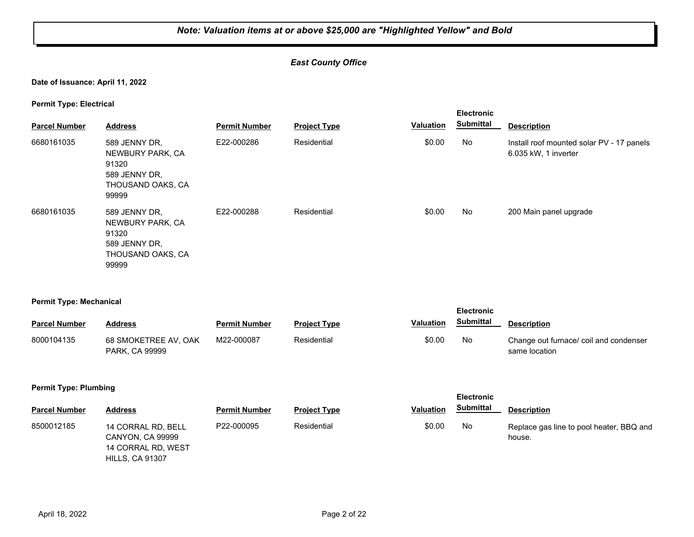## *East County Office*

**Date of Issuance: April 11, 2022**

**Permit Type: Electrical**

| <b>Parcel Number</b> | <b>Address</b>                                                                            | <b>Permit Number</b> | <b>Project Type</b> | <b>Valuation</b> | <b>Electronic</b><br><b>Submittal</b> | <b>Description</b>                                                |
|----------------------|-------------------------------------------------------------------------------------------|----------------------|---------------------|------------------|---------------------------------------|-------------------------------------------------------------------|
| 6680161035           | 589 JENNY DR,<br>NEWBURY PARK, CA<br>91320<br>589 JENNY DR,<br>THOUSAND OAKS, CA<br>99999 | E22-000286           | Residential         | \$0.00           | No                                    | Install roof mounted solar PV - 17 panels<br>6.035 kW, 1 inverter |
| 6680161035           | 589 JENNY DR.<br>NEWBURY PARK, CA<br>91320<br>589 JENNY DR.<br>THOUSAND OAKS, CA<br>99999 | E22-000288           | Residential         | \$0.00           | No                                    | 200 Main panel upgrade                                            |

### **Permit Type: Mechanical**

| $ -$                 |                                               |                      |                     |                  | <b>Electronic</b> |                                                        |
|----------------------|-----------------------------------------------|----------------------|---------------------|------------------|-------------------|--------------------------------------------------------|
| <b>Parcel Number</b> | Address                                       | <b>Permit Number</b> | <b>Project Type</b> | <b>Valuation</b> | <b>Submittal</b>  | <b>Description</b>                                     |
| 8000104135           | 68 SMOKETREE AV, OAK<br><b>PARK, CA 99999</b> | M22-000087           | Residential         | \$0.00           | No                | Change out furnace/coil and condenser<br>same location |

#### **Permit Type: Plumbing**

HILLS, CA 91307

| <b>Parcel Number</b> | Address                                                             | Permit Number | <b>Project Type</b> | <b>Valuation</b> | Submittal | <b>Description</b>                                 |
|----------------------|---------------------------------------------------------------------|---------------|---------------------|------------------|-----------|----------------------------------------------------|
| 8500012185           | 14 CORRAL RD, BELL<br><b>CANYON, CA 99999</b><br>14 CORRAL RD, WEST | P22-000095    | Residential         | \$0.00           | No.       | Replace gas line to pool heater, BBQ and<br>house. |

**Electronic**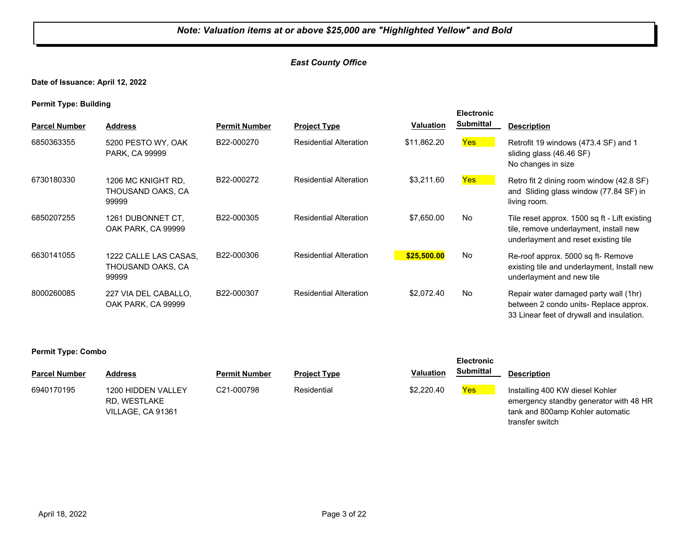## *East County Office*

**Date of Issuance: April 12, 2022**

**Permit Type: Building**

| <b>Parcel Number</b> | <b>Address</b>                                      | <b>Permit Number</b> | <b>Project Type</b>           | Valuation   | <b>Electronic</b><br><b>Submittal</b> | <b>Description</b>                                                                                                              |
|----------------------|-----------------------------------------------------|----------------------|-------------------------------|-------------|---------------------------------------|---------------------------------------------------------------------------------------------------------------------------------|
| 6850363355           | 5200 PESTO WY, OAK<br>PARK, CA 99999                | B22-000270           | <b>Residential Alteration</b> | \$11,862.20 | Yes                                   | Retrofit 19 windows (473.4 SF) and 1<br>sliding glass (46.46 SF)<br>No changes in size                                          |
| 6730180330           | 1206 MC KNIGHT RD.<br>THOUSAND OAKS, CA<br>99999    | B22-000272           | <b>Residential Alteration</b> | \$3,211.60  | Yes                                   | Retro fit 2 dining room window (42.8 SF)<br>and Sliding glass window (77.84 SF) in<br>living room.                              |
| 6850207255           | 1261 DUBONNET CT.<br>OAK PARK, CA 99999             | B22-000305           | <b>Residential Alteration</b> | \$7,650.00  | <b>No</b>                             | Tile reset approx. 1500 sq ft - Lift existing<br>tile, remove underlayment, install new<br>underlayment and reset existing tile |
| 6630141055           | 1222 CALLE LAS CASAS.<br>THOUSAND OAKS, CA<br>99999 | B22-000306           | <b>Residential Alteration</b> | \$25,500.00 | <b>No</b>                             | Re-roof approx. 5000 sq ft- Remove<br>existing tile and underlayment, Install new<br>underlayment and new tile                  |
| 8000260085           | 227 VIA DEL CABALLO.<br>OAK PARK, CA 99999          | B22-000307           | <b>Residential Alteration</b> | \$2,072.40  | <b>No</b>                             | Repair water damaged party wall (1hr)<br>between 2 condo units- Replace approx.<br>33 Linear feet of drywall and insulation.    |

|                      |                                                         |                      |                     |                  | <b>Electronic</b> |                                                                                                                                  |
|----------------------|---------------------------------------------------------|----------------------|---------------------|------------------|-------------------|----------------------------------------------------------------------------------------------------------------------------------|
| <b>Parcel Number</b> | Address                                                 | <b>Permit Number</b> | <b>Project Type</b> | <b>Valuation</b> | <b>Submittal</b>  | <b>Description</b>                                                                                                               |
| 6940170195           | 1200 HIDDEN VALLEY<br>RD. WESTLAKE<br>VILLAGE, CA 91361 | C21-000798           | Residential         | \$2,220.40       | Yes               | Installing 400 KW diesel Kohler<br>emergency standby generator with 48 HR<br>tank and 800amp Kohler automatic<br>transfer switch |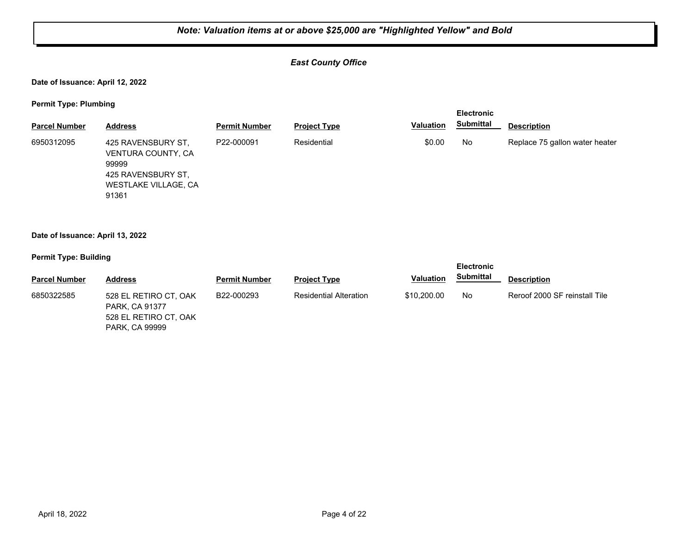## *East County Office*

**Date of Issuance: April 12, 2022**

**Permit Type: Plumbing**

| - -<br><b>Parcel Number</b> | <b>Address</b>                                                                                           | <b>Permit Number</b> | <b>Project Type</b> | <b>Valuation</b> | <b>Electronic</b><br><b>Submittal</b> | <b>Description</b>             |
|-----------------------------|----------------------------------------------------------------------------------------------------------|----------------------|---------------------|------------------|---------------------------------------|--------------------------------|
|                             |                                                                                                          |                      |                     |                  |                                       |                                |
| 6950312095                  | 425 RAVENSBURY ST,<br>VENTURA COUNTY, CA<br>99999<br>425 RAVENSBURY ST.<br>WESTLAKE VILLAGE, CA<br>91361 | P22-000091           | Residential         | \$0.00           | No.                                   | Replace 75 gallon water heater |

#### **Date of Issuance: April 13, 2022**

| --                   |                                                                                           |                      |                               |                  | <b>Electronic</b> |                               |
|----------------------|-------------------------------------------------------------------------------------------|----------------------|-------------------------------|------------------|-------------------|-------------------------------|
| <b>Parcel Number</b> | <b>Address</b>                                                                            | <b>Permit Number</b> | <b>Project Type</b>           | <b>Valuation</b> | Submittal         | <b>Description</b>            |
| 6850322585           | 528 EL RETIRO CT, OAK<br>PARK, CA 91377<br>528 EL RETIRO CT, OAK<br><b>PARK, CA 99999</b> | B22-000293           | <b>Residential Alteration</b> | \$10,200.00      | No                | Reroof 2000 SF reinstall Tile |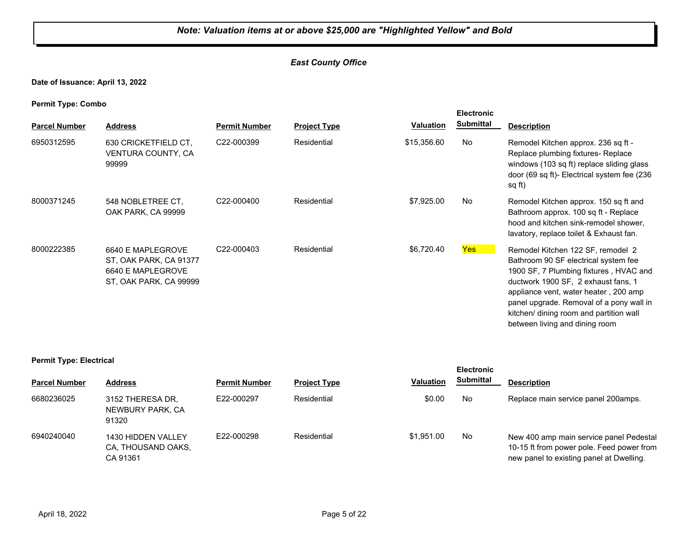## *East County Office*

**Date of Issuance: April 13, 2022**

**Permit Type: Combo**

| . .<br><b>Parcel Number</b> | <b>Address</b>                                                                             | <b>Permit Number</b> | <b>Project Type</b> | <b>Valuation</b> | <b>Electronic</b><br><b>Submittal</b> | <b>Description</b>                                                                                                                                                                                                                                                                                                           |
|-----------------------------|--------------------------------------------------------------------------------------------|----------------------|---------------------|------------------|---------------------------------------|------------------------------------------------------------------------------------------------------------------------------------------------------------------------------------------------------------------------------------------------------------------------------------------------------------------------------|
| 6950312595                  | 630 CRICKETFIELD CT,<br>VENTURA COUNTY, CA<br>99999                                        | C22-000399           | Residential         | \$15,356.60      | No                                    | Remodel Kitchen approx. 236 sq ft -<br>Replace plumbing fixtures- Replace<br>windows (103 sq ft) replace sliding glass<br>door (69 sq ft)- Electrical system fee (236<br>sq ft)                                                                                                                                              |
| 8000371245                  | 548 NOBLETREE CT.<br>OAK PARK, CA 99999                                                    | C22-000400           | Residential         | \$7,925.00       | No                                    | Remodel Kitchen approx. 150 sq ft and<br>Bathroom approx. 100 sq ft - Replace<br>hood and kitchen sink-remodel shower,<br>lavatory, replace toilet & Exhaust fan.                                                                                                                                                            |
| 8000222385                  | 6640 E MAPLEGROVE<br>ST, OAK PARK, CA 91377<br>6640 E MAPLEGROVE<br>ST, OAK PARK, CA 99999 | C22-000403           | Residential         | \$6,720.40       | <b>Yes</b>                            | Remodel Kitchen 122 SF, remodel 2<br>Bathroom 90 SF electrical system fee<br>1900 SF, 7 Plumbing fixtures, HVAC and<br>ductwork 1900 SF, 2 exhaust fans, 1<br>appliance vent, water heater, 200 amp<br>panel upgrade. Removal of a pony wall in<br>kitchen/ dining room and partition wall<br>between living and dining room |

#### **Permit Type: Electrical**

|                      |                                                      |                      |                     |                  | <b>Electronic</b> |                                                                                                                                  |
|----------------------|------------------------------------------------------|----------------------|---------------------|------------------|-------------------|----------------------------------------------------------------------------------------------------------------------------------|
| <b>Parcel Number</b> | <b>Address</b>                                       | <b>Permit Number</b> | <b>Project Type</b> | <b>Valuation</b> | <b>Submittal</b>  | <b>Description</b>                                                                                                               |
| 6680236025           | 3152 THERESA DR,<br>NEWBURY PARK, CA<br>91320        | E22-000297           | Residential         | \$0.00           | No                | Replace main service panel 200 amps.                                                                                             |
| 6940240040           | 1430 HIDDEN VALLEY<br>CA. THOUSAND OAKS.<br>CA 91361 | E22-000298           | Residential         | \$1.951.00       | No                | New 400 amp main service panel Pedestal<br>10-15 ft from power pole. Feed power from<br>new panel to existing panel at Dwelling. |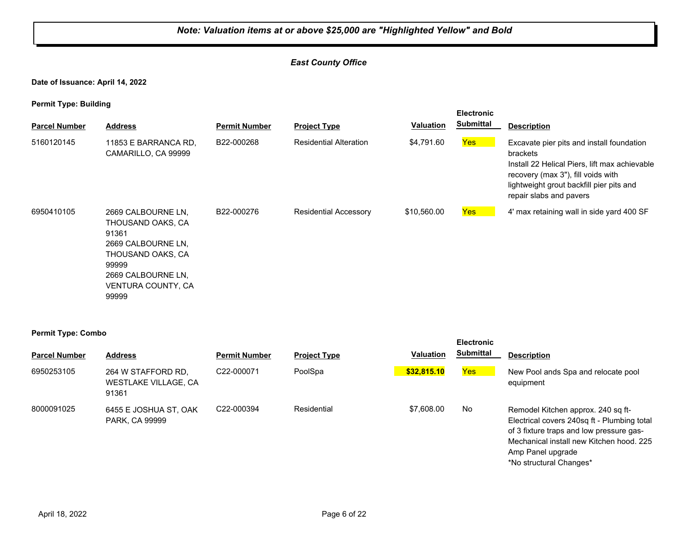## *East County Office*

**Date of Issuance: April 14, 2022**

|                           |                                                                                                                                                           |                      |                               |                  | <b>Electronic</b> |                                                                                                                                                                                                                           |
|---------------------------|-----------------------------------------------------------------------------------------------------------------------------------------------------------|----------------------|-------------------------------|------------------|-------------------|---------------------------------------------------------------------------------------------------------------------------------------------------------------------------------------------------------------------------|
| <b>Parcel Number</b>      | <b>Address</b>                                                                                                                                            | <b>Permit Number</b> | <b>Project Type</b>           | <b>Valuation</b> | <b>Submittal</b>  | <b>Description</b>                                                                                                                                                                                                        |
| 5160120145                | 11853 E BARRANCA RD,<br>CAMARILLO, CA 99999                                                                                                               | B22-000268           | <b>Residential Alteration</b> | \$4,791.60       | <b>Yes</b>        | Excavate pier pits and install foundation<br>brackets<br>Install 22 Helical Piers, lift max achievable<br>recovery (max 3"), fill voids with<br>lightweight grout backfill pier pits and<br>repair slabs and pavers       |
| 6950410105                | 2669 CALBOURNE LN,<br>THOUSAND OAKS, CA<br>91361<br>2669 CALBOURNE LN,<br>THOUSAND OAKS, CA<br>99999<br>2669 CALBOURNE LN,<br>VENTURA COUNTY, CA<br>99999 | B22-000276           | <b>Residential Accessory</b>  | \$10,560.00      | Yes               | 4' max retaining wall in side yard 400 SF                                                                                                                                                                                 |
| <b>Permit Type: Combo</b> |                                                                                                                                                           |                      |                               |                  | <b>Electronic</b> |                                                                                                                                                                                                                           |
| <b>Parcel Number</b>      | <b>Address</b>                                                                                                                                            | <b>Permit Number</b> | <b>Project Type</b>           | <b>Valuation</b> | <b>Submittal</b>  | <b>Description</b>                                                                                                                                                                                                        |
| 6950253105                | 264 W STAFFORD RD,<br>WESTLAKE VILLAGE, CA<br>91361                                                                                                       | C22-000071           | PoolSpa                       | \$32,815.10      | Yes               | New Pool ands Spa and relocate pool<br>equipment                                                                                                                                                                          |
| 8000091025                | 6455 E JOSHUA ST, OAK<br>PARK, CA 99999                                                                                                                   | C22-000394           | Residential                   | \$7,608.00       | No                | Remodel Kitchen approx. 240 sq ft-<br>Electrical covers 240sq ft - Plumbing total<br>of 3 fixture traps and low pressure gas-<br>Mechanical install new Kitchen hood. 225<br>Amp Panel upgrade<br>*No structural Changes* |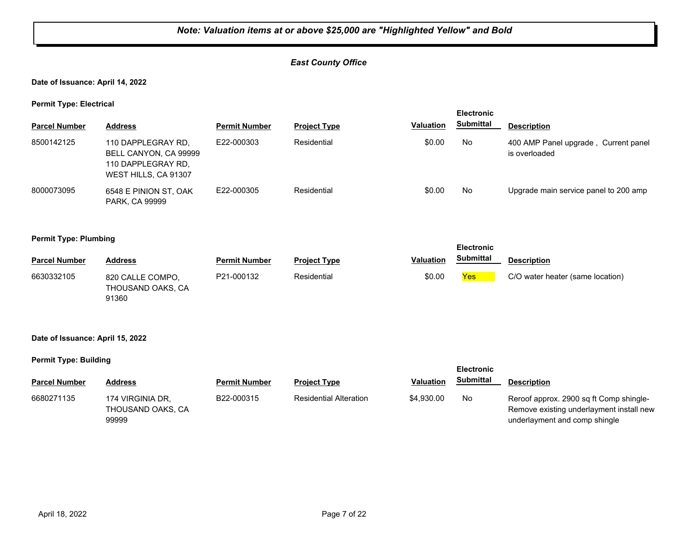## *East County Office*

**Date of Issuance: April 14, 2022**

**Permit Type: Electrical**

| . .                  |                                                                                           |                      |                     |                  | <b>Electronic</b> |                                                       |
|----------------------|-------------------------------------------------------------------------------------------|----------------------|---------------------|------------------|-------------------|-------------------------------------------------------|
| <b>Parcel Number</b> | <b>Address</b>                                                                            | <b>Permit Number</b> | <b>Project Type</b> | <b>Valuation</b> | <b>Submittal</b>  | <b>Description</b>                                    |
| 8500142125           | 110 DAPPLEGRAY RD,<br>BELL CANYON, CA 99999<br>110 DAPPLEGRAY RD.<br>WEST HILLS, CA 91307 | E22-000303           | Residential         | \$0.00           | No                | 400 AMP Panel upgrade, Current panel<br>is overloaded |
| 8000073095           | 6548 E PINION ST, OAK<br><b>PARK, CA 99999</b>                                            | E22-000305           | Residential         | \$0.00           | No                | Upgrade main service panel to 200 amp                 |

#### **Permit Type: Plumbing**

|                      |                                                |                      |                     |                  | <b>Electronic</b> |                                  |
|----------------------|------------------------------------------------|----------------------|---------------------|------------------|-------------------|----------------------------------|
| <b>Parcel Number</b> | <b>Address</b>                                 | <b>Permit Number</b> | <b>Project Type</b> | <b>Valuation</b> | <b>Submittal</b>  | <b>Description</b>               |
| 6630332105           | 820 CALLE COMPO.<br>THOUSAND OAKS, CA<br>91360 | P21-000132           | Residential         | \$0.00           | Yes               | C/O water heater (same location) |

#### **Date of Issuance: April 15, 2022**

|                      |                                                |                      |                               |                  | <b>Electronic</b> |                                                                                                                      |
|----------------------|------------------------------------------------|----------------------|-------------------------------|------------------|-------------------|----------------------------------------------------------------------------------------------------------------------|
| <b>Parcel Number</b> | <b>Address</b>                                 | <b>Permit Number</b> | <b>Project Type</b>           | <b>Valuation</b> | <b>Submittal</b>  | <b>Description</b>                                                                                                   |
| 6680271135           | 174 VIRGINIA DR.<br>THOUSAND OAKS, CA<br>99999 | B22-000315           | <b>Residential Alteration</b> | \$4,930.00       | No                | Reroof approx. 2900 sq ft Comp shingle-<br>Remove existing underlayment install new<br>underlayment and comp shingle |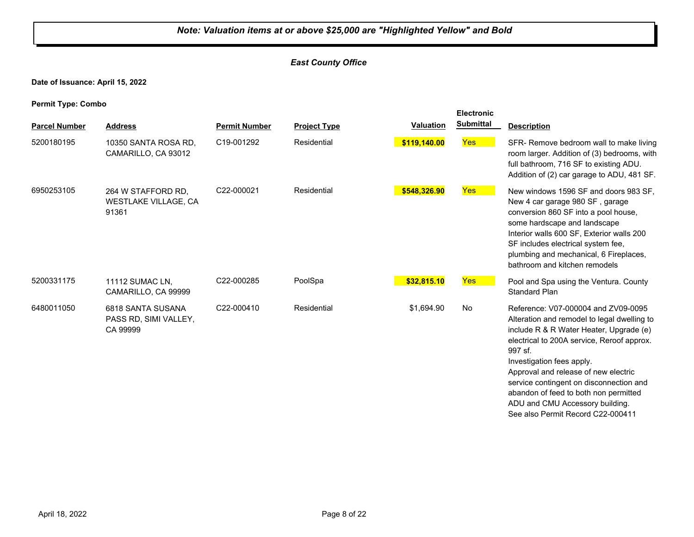## *East County Office*

**Date of Issuance: April 15, 2022**

|                      |                                                            |                      |                     |                  | <b>Electronic</b> |                                                                                                                                                                                                                                                                                                                                                                                                                         |
|----------------------|------------------------------------------------------------|----------------------|---------------------|------------------|-------------------|-------------------------------------------------------------------------------------------------------------------------------------------------------------------------------------------------------------------------------------------------------------------------------------------------------------------------------------------------------------------------------------------------------------------------|
| <b>Parcel Number</b> | <b>Address</b>                                             | <b>Permit Number</b> | <b>Project Type</b> | <b>Valuation</b> | <b>Submittal</b>  | <b>Description</b>                                                                                                                                                                                                                                                                                                                                                                                                      |
| 5200180195           | 10350 SANTA ROSA RD.<br>CAMARILLO, CA 93012                | C19-001292           | Residential         | \$119,140.00     | <b>Yes</b>        | SFR- Remove bedroom wall to make living<br>room larger. Addition of (3) bedrooms, with<br>full bathroom, 716 SF to existing ADU.<br>Addition of (2) car garage to ADU, 481 SF.                                                                                                                                                                                                                                          |
| 6950253105           | 264 W STAFFORD RD.<br><b>WESTLAKE VILLAGE, CA</b><br>91361 | C22-000021           | Residential         | \$548,326.90     | <b>Yes</b>        | New windows 1596 SF and doors 983 SF.<br>New 4 car garage 980 SF, garage<br>conversion 860 SF into a pool house,<br>some hardscape and landscape<br>Interior walls 600 SF, Exterior walls 200<br>SF includes electrical system fee,<br>plumbing and mechanical, 6 Fireplaces,<br>bathroom and kitchen remodels                                                                                                          |
| 5200331175           | <b>11112 SUMAC LN.</b><br>CAMARILLO, CA 99999              | C22-000285           | PoolSpa             | \$32,815.10      | Yes               | Pool and Spa using the Ventura. County<br><b>Standard Plan</b>                                                                                                                                                                                                                                                                                                                                                          |
| 6480011050           | 6818 SANTA SUSANA<br>PASS RD, SIMI VALLEY,<br>CA 99999     | C22-000410           | Residential         | \$1,694.90       | No                | Reference: V07-000004 and ZV09-0095<br>Alteration and remodel to legal dwelling to<br>include R & R Water Heater, Upgrade (e)<br>electrical to 200A service, Reroof approx.<br>997 sf.<br>Investigation fees apply.<br>Approval and release of new electric<br>service contingent on disconnection and<br>abandon of feed to both non permitted<br>ADU and CMU Accessory building.<br>See also Permit Record C22-000411 |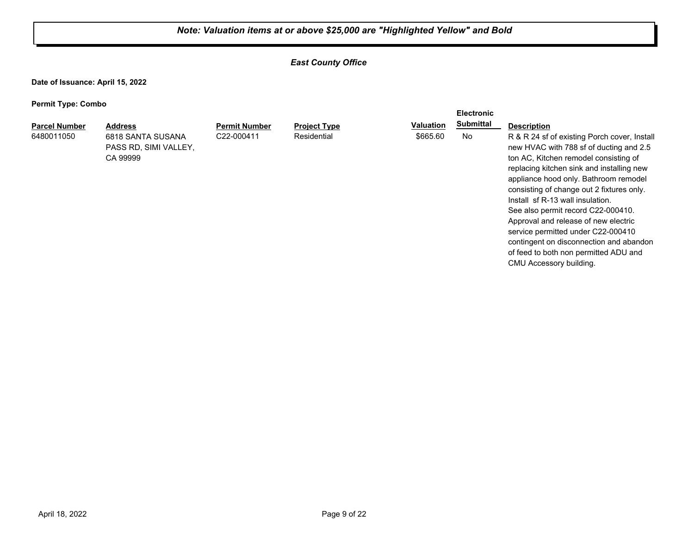**Electronic** 

## *East County Office*

**Date of Issuance: April 15, 2022**

| <b>Parcel Number</b> | <b>Address</b>        | <b>Permit Number</b> | <b>Project Type</b> | <b>Valuation</b> | <b>Submittal</b> | <b>Description</b>                                                            |
|----------------------|-----------------------|----------------------|---------------------|------------------|------------------|-------------------------------------------------------------------------------|
| 6480011050           | 6818 SANTA SUSANA     | C22-000411           | Residential         | \$665.60         | No               | R & R 24 sf of existing Porch cover, Install                                  |
|                      | PASS RD. SIMI VALLEY. |                      |                     |                  |                  | new HVAC with 788 sf of ducting and 2.5                                       |
|                      | CA 99999              |                      |                     |                  |                  | ton AC, Kitchen remodel consisting of                                         |
|                      |                       |                      |                     |                  |                  | replacing kitchen sink and installing new                                     |
|                      |                       |                      |                     |                  |                  | appliance hood only. Bathroom remodel                                         |
|                      |                       |                      |                     |                  |                  | consisting of change out 2 fixtures only.<br>Install sf R-13 wall insulation. |
|                      |                       |                      |                     |                  |                  | See also permit record C22-000410.                                            |
|                      |                       |                      |                     |                  |                  | Approval and release of new electric                                          |
|                      |                       |                      |                     |                  |                  | service permitted under C22-000410                                            |
|                      |                       |                      |                     |                  |                  | contingent on disconnection and abandon                                       |
|                      |                       |                      |                     |                  |                  | of feed to both non permitted ADU and                                         |
|                      |                       |                      |                     |                  |                  | CMU Accessory building.                                                       |
|                      |                       |                      |                     |                  |                  |                                                                               |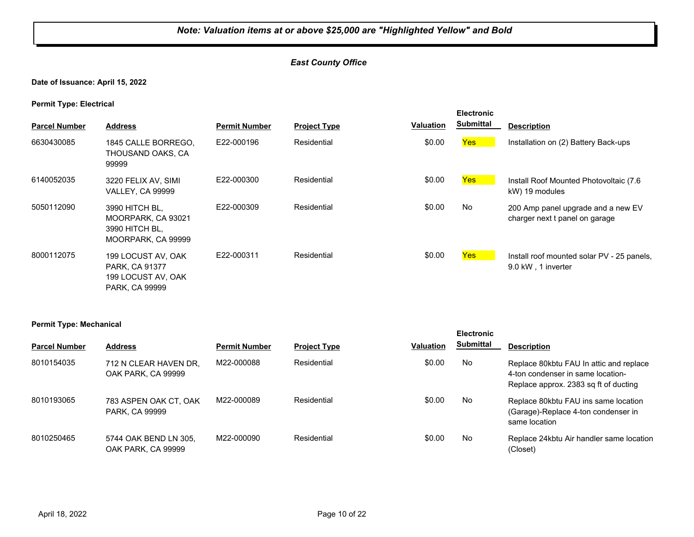## *East County Office*

## **Date of Issuance: April 15, 2022**

**Permit Type: Electrical**

| <b>Parcel Number</b> | <b>Address</b>                                                                      | <b>Permit Number</b> | <b>Project Type</b> | <b>Valuation</b> | <b>Electronic</b><br><b>Submittal</b> | <b>Description</b>                                                   |
|----------------------|-------------------------------------------------------------------------------------|----------------------|---------------------|------------------|---------------------------------------|----------------------------------------------------------------------|
| 6630430085           | 1845 CALLE BORREGO,<br>THOUSAND OAKS, CA<br>99999                                   | E22-000196           | Residential         | \$0.00           | <b>Yes</b>                            | Installation on (2) Battery Back-ups                                 |
| 6140052035           | 3220 FELIX AV, SIMI<br><b>VALLEY, CA 99999</b>                                      | E22-000300           | Residential         | \$0.00           | <b>Yes</b>                            | Install Roof Mounted Photovoltaic (7.6)<br>kW) 19 modules            |
| 5050112090           | 3990 HITCH BL,<br>MOORPARK, CA 93021<br>3990 HITCH BL,<br>MOORPARK, CA 99999        | E22-000309           | Residential         | \$0.00           | No                                    | 200 Amp panel upgrade and a new EV<br>charger next t panel on garage |
| 8000112075           | 199 LOCUST AV, OAK<br><b>PARK, CA 91377</b><br>199 LOCUST AV, OAK<br>PARK, CA 99999 | E22-000311           | Residential         | \$0.00           | <b>Yes</b>                            | Install roof mounted solar PV - 25 panels,<br>9.0 kW, 1 inverter     |

#### **Permit Type: Mechanical**

| . .                  |                                                |                      |                     |                  | <b>Electronic</b> |                                                                                                                        |
|----------------------|------------------------------------------------|----------------------|---------------------|------------------|-------------------|------------------------------------------------------------------------------------------------------------------------|
| <b>Parcel Number</b> | <b>Address</b>                                 | <b>Permit Number</b> | <b>Project Type</b> | <b>Valuation</b> | <b>Submittal</b>  | <b>Description</b>                                                                                                     |
| 8010154035           | 712 N CLEAR HAVEN DR.<br>OAK PARK, CA 99999    | M22-000088           | Residential         | \$0.00           | No                | Replace 80 kbtu FAU In attic and replace<br>4-ton condenser in same location-<br>Replace approx. 2383 sq ft of ducting |
| 8010193065           | 783 ASPEN OAK CT, OAK<br><b>PARK, CA 99999</b> | M22-000089           | Residential         | \$0.00           | No                | Replace 80kbtu FAU ins same location<br>(Garage)-Replace 4-ton condenser in<br>same location                           |
| 8010250465           | 5744 OAK BEND LN 305.<br>OAK PARK, CA 99999    | M22-000090           | Residential         | \$0.00           | No                | Replace 24 kbtu Air handler same location<br>(Closet)                                                                  |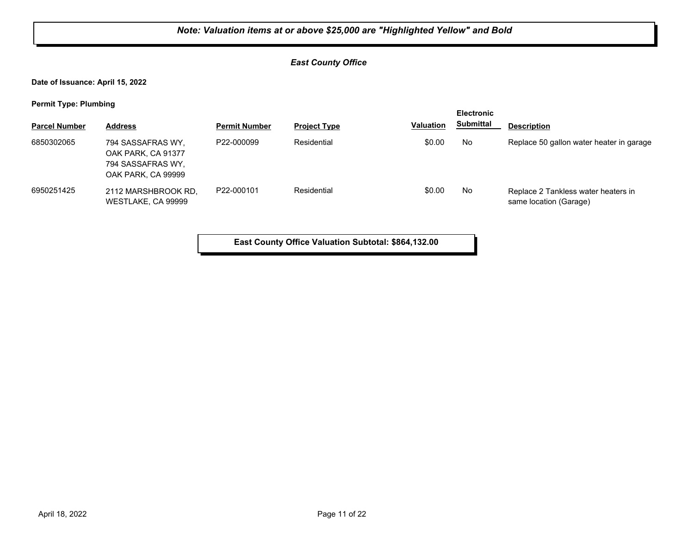## *East County Office*

**Date of Issuance: April 15, 2022**

**Permit Type: Plumbing**

| . .                  |                                                                                    |                      |                     |                  | <b>Electronic</b> |                                                               |  |
|----------------------|------------------------------------------------------------------------------------|----------------------|---------------------|------------------|-------------------|---------------------------------------------------------------|--|
| <b>Parcel Number</b> | <b>Address</b>                                                                     | <b>Permit Number</b> | <b>Project Type</b> | <b>Valuation</b> | <b>Submittal</b>  | <b>Description</b>                                            |  |
| 6850302065           | 794 SASSAFRAS WY.<br>OAK PARK, CA 91377<br>794 SASSAFRAS WY.<br>OAK PARK, CA 99999 | P22-000099           | Residential         | \$0.00           | No                | Replace 50 gallon water heater in garage                      |  |
| 6950251425           | 2112 MARSHBROOK RD.<br>WESTLAKE, CA 99999                                          | P22-000101           | Residential         | \$0.00           | No                | Replace 2 Tankless water heaters in<br>same location (Garage) |  |

**East County Office Valuation Subtotal: \$864,132.00**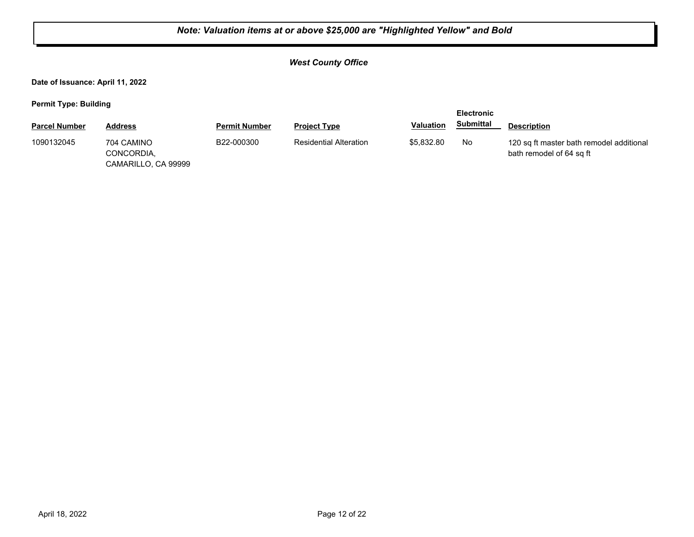## *West County Office*

**Date of Issuance: April 11, 2022**

| <b>Parcel Number</b> | Address                                         | <b>Permit Number</b> | <b>Project Type</b>           | <b>Valuation</b> | <b>Submittal</b> | <b>Description</b>                                                   |
|----------------------|-------------------------------------------------|----------------------|-------------------------------|------------------|------------------|----------------------------------------------------------------------|
| 1090132045           | 704 CAMINO<br>CONCORDIA,<br>CAMARILLO, CA 99999 | B22-000300           | <b>Residential Alteration</b> | \$5,832.80       | No               | 120 sq ft master bath remodel additional<br>bath remodel of 64 sq ft |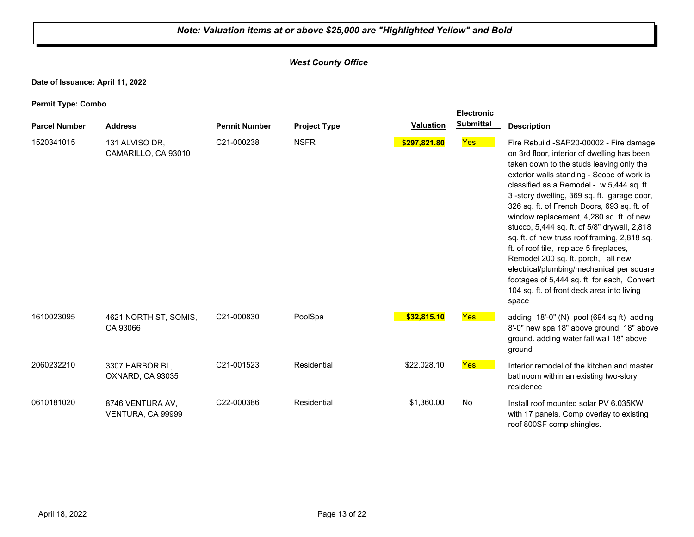## *West County Office*

**Date of Issuance: April 11, 2022**

|                      |                                       |                      |                     |                  | <b>Electronic</b> |                                                                                                                                                                                                                                                                                                                                                                                                                                                                                                                                                                                                                                                                                                            |
|----------------------|---------------------------------------|----------------------|---------------------|------------------|-------------------|------------------------------------------------------------------------------------------------------------------------------------------------------------------------------------------------------------------------------------------------------------------------------------------------------------------------------------------------------------------------------------------------------------------------------------------------------------------------------------------------------------------------------------------------------------------------------------------------------------------------------------------------------------------------------------------------------------|
| <b>Parcel Number</b> | <b>Address</b>                        | <b>Permit Number</b> | <b>Project Type</b> | <b>Valuation</b> | <b>Submittal</b>  | <b>Description</b>                                                                                                                                                                                                                                                                                                                                                                                                                                                                                                                                                                                                                                                                                         |
| 1520341015           | 131 ALVISO DR.<br>CAMARILLO, CA 93010 | C21-000238           | <b>NSFR</b>         | \$297,821.80     | Yes               | Fire Rebuild -SAP20-00002 - Fire damage<br>on 3rd floor, interior of dwelling has been<br>taken down to the studs leaving only the<br>exterior walls standing - Scope of work is<br>classified as a Remodel - w 5,444 sq. ft.<br>3-story dwelling, 369 sq. ft. garage door,<br>326 sq. ft. of French Doors, 693 sq. ft. of<br>window replacement, 4,280 sq. ft. of new<br>stucco, 5,444 sq. ft. of 5/8" drywall, 2,818<br>sq. ft. of new truss roof framing, 2,818 sq.<br>ft. of roof tile, replace 5 fireplaces,<br>Remodel 200 sq. ft. porch, all new<br>electrical/plumbing/mechanical per square<br>footages of 5,444 sq. ft. for each, Convert<br>104 sq. ft. of front deck area into living<br>space |
| 1610023095           | 4621 NORTH ST, SOMIS,<br>CA 93066     | C21-000830           | PoolSpa             | \$32,815.10      | Yes               | adding 18'-0" (N) pool (694 sq ft) adding<br>8'-0" new spa 18" above ground 18" above<br>ground. adding water fall wall 18" above<br>ground                                                                                                                                                                                                                                                                                                                                                                                                                                                                                                                                                                |
| 2060232210           | 3307 HARBOR BL,<br>OXNARD, CA 93035   | C21-001523           | Residential         | \$22,028.10      | Yes               | Interior remodel of the kitchen and master<br>bathroom within an existing two-story<br>residence                                                                                                                                                                                                                                                                                                                                                                                                                                                                                                                                                                                                           |
| 0610181020           | 8746 VENTURA AV.<br>VENTURA, CA 99999 | C22-000386           | Residential         | \$1,360.00       | No                | Install roof mounted solar PV 6.035KW<br>with 17 panels. Comp overlay to existing<br>roof 800SF comp shingles.                                                                                                                                                                                                                                                                                                                                                                                                                                                                                                                                                                                             |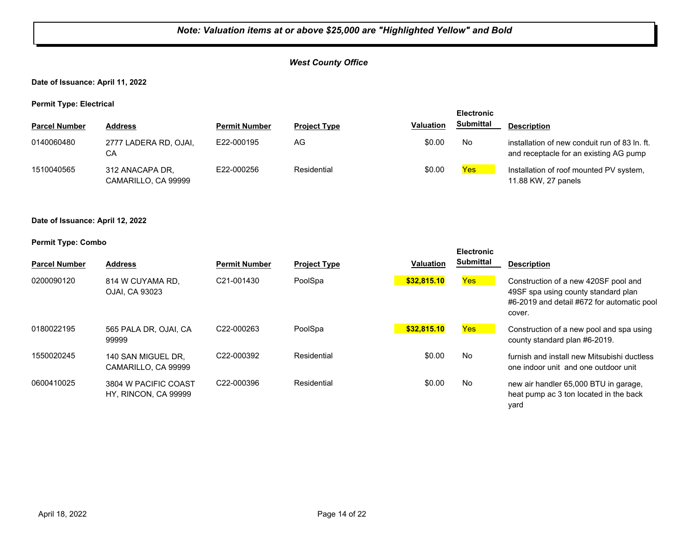## *West County Office*

**Date of Issuance: April 11, 2022**

**Permit Type: Electrical**

|                      |                                        |                      |                     |                  | <b>Electronic</b> |                                                                                         |
|----------------------|----------------------------------------|----------------------|---------------------|------------------|-------------------|-----------------------------------------------------------------------------------------|
| <b>Parcel Number</b> | <b>Address</b>                         | <b>Permit Number</b> | <b>Project Type</b> | <b>Valuation</b> | <b>Submittal</b>  | <b>Description</b>                                                                      |
| 0140060480           | 2777 LADERA RD, OJAI,<br>CA            | E22-000195           | AG                  | \$0.00           | No                | installation of new conduit run of 83 ln. ft.<br>and receptacle for an existing AG pump |
| 1510040565           | 312 ANACAPA DR,<br>CAMARILLO, CA 99999 | E22-000256           | Residential         | \$0.00           | Yes               | Installation of roof mounted PV system,<br>11.88 KW, 27 panels                          |

**Date of Issuance: April 12, 2022**

| <b>Parcel Number</b> | <b>Address</b>                               | <b>Permit Number</b>    | <b>Project Type</b> | <b>Valuation</b> | <b>Electronic</b><br><b>Submittal</b> | <b>Description</b>                                                                                                                  |
|----------------------|----------------------------------------------|-------------------------|---------------------|------------------|---------------------------------------|-------------------------------------------------------------------------------------------------------------------------------------|
| 0200090120           | 814 W CUYAMA RD.<br>OJAI, CA 93023           | C <sub>21</sub> -001430 | PoolSpa             | \$32,815.10      | Yes                                   | Construction of a new 420SF pool and<br>49SF spa using county standard plan<br>#6-2019 and detail #672 for automatic pool<br>cover. |
| 0180022195           | 565 PALA DR, OJAI, CA<br>99999               | C <sub>22</sub> -000263 | PoolSpa             | \$32,815.10      | Yes                                   | Construction of a new pool and spa using<br>county standard plan #6-2019.                                                           |
| 1550020245           | 140 SAN MIGUEL DR.<br>CAMARILLO, CA 99999    | C22-000392              | Residential         | \$0.00           | <b>No</b>                             | furnish and install new Mitsubishi ductless<br>one indoor unit and one outdoor unit                                                 |
| 0600410025           | 3804 W PACIFIC COAST<br>HY, RINCON, CA 99999 | C <sub>22</sub> -000396 | Residential         | \$0.00           | No                                    | new air handler 65,000 BTU in garage,<br>heat pump ac 3 ton located in the back<br>yard                                             |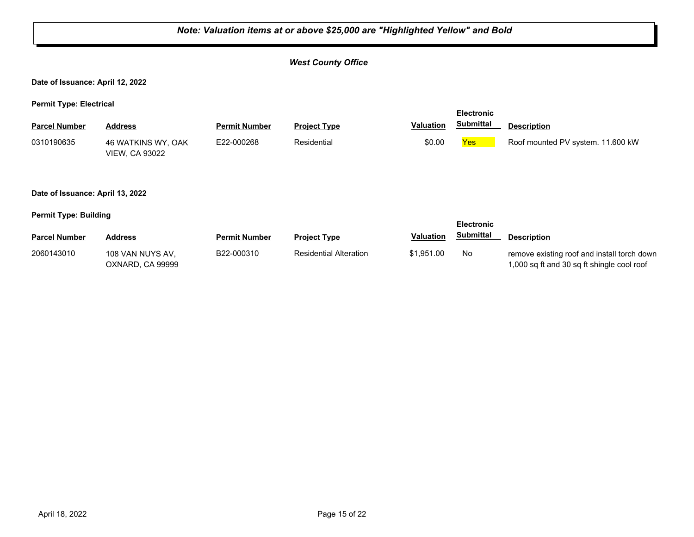|                                                     | Note: Valuation items at or above \$25,000 are "Highlighted Yellow" and Bold |                      |                               |                  |                   |                                                                                           |  |  |  |
|-----------------------------------------------------|------------------------------------------------------------------------------|----------------------|-------------------------------|------------------|-------------------|-------------------------------------------------------------------------------------------|--|--|--|
| <b>West County Office</b>                           |                                                                              |                      |                               |                  |                   |                                                                                           |  |  |  |
| Date of Issuance: April 12, 2022                    |                                                                              |                      |                               |                  |                   |                                                                                           |  |  |  |
| <b>Permit Type: Electrical</b><br><b>Electronic</b> |                                                                              |                      |                               |                  |                   |                                                                                           |  |  |  |
| <b>Parcel Number</b>                                | <b>Address</b>                                                               | <b>Permit Number</b> | <b>Project Type</b>           | <b>Valuation</b> | <b>Submittal</b>  | <b>Description</b>                                                                        |  |  |  |
| 0310190635                                          | 46 WATKINS WY, OAK<br><b>VIEW, CA 93022</b>                                  | E22-000268           | Residential                   | \$0.00           | <b>Yes</b>        | Roof mounted PV system. 11.600 kW                                                         |  |  |  |
| Date of Issuance: April 13, 2022                    |                                                                              |                      |                               |                  |                   |                                                                                           |  |  |  |
| <b>Permit Type: Building</b>                        |                                                                              |                      |                               |                  | <b>Electronic</b> |                                                                                           |  |  |  |
| <b>Parcel Number</b>                                | <b>Address</b>                                                               | <b>Permit Number</b> | <b>Project Type</b>           | <b>Valuation</b> | <b>Submittal</b>  | <b>Description</b>                                                                        |  |  |  |
| 2060143010                                          | 108 VAN NUYS AV,<br>OXNARD, CA 99999                                         | B22-000310           | <b>Residential Alteration</b> | \$1,951.00       | No.               | remove existing roof and install torch down<br>1,000 sq ft and 30 sq ft shingle cool roof |  |  |  |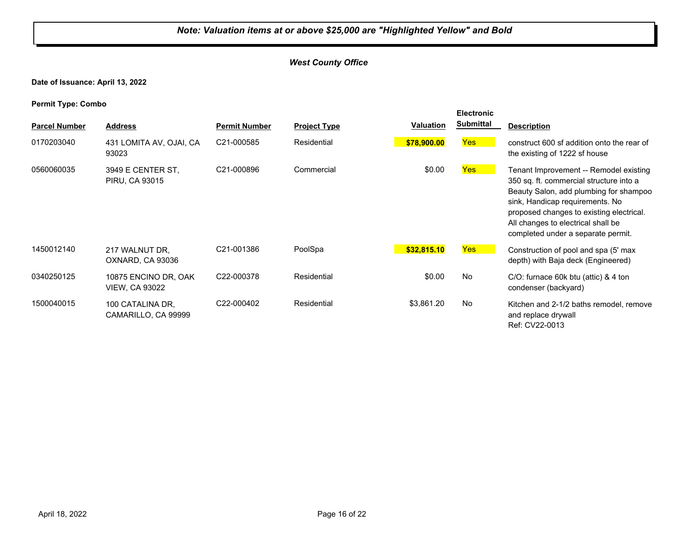## *West County Office*

**Date of Issuance: April 13, 2022**

| . .                  |                                               |                      |                     |                  | <b>Electronic</b> |                                                                                                                                                                                                                                                                                        |
|----------------------|-----------------------------------------------|----------------------|---------------------|------------------|-------------------|----------------------------------------------------------------------------------------------------------------------------------------------------------------------------------------------------------------------------------------------------------------------------------------|
| <b>Parcel Number</b> | <b>Address</b>                                | <b>Permit Number</b> | <b>Project Type</b> | <b>Valuation</b> | <b>Submittal</b>  | <b>Description</b>                                                                                                                                                                                                                                                                     |
| 0170203040           | 431 LOMITA AV, OJAI, CA<br>93023              | C21-000585           | Residential         | \$78,900.00      | Yes <sup>1</sup>  | construct 600 sf addition onto the rear of<br>the existing of 1222 sf house                                                                                                                                                                                                            |
| 0560060035           | 3949 E CENTER ST,<br><b>PIRU, CA 93015</b>    | C21-000896           | Commercial          | \$0.00           | Yes <sup>1</sup>  | Tenant Improvement -- Remodel existing<br>350 sq. ft. commercial structure into a<br>Beauty Salon, add plumbing for shampoo<br>sink, Handicap requirements. No<br>proposed changes to existing electrical.<br>All changes to electrical shall be<br>completed under a separate permit. |
| 1450012140           | 217 WALNUT DR.<br>OXNARD, CA 93036            | C21-001386           | PoolSpa             | \$32,815.10      | Yes               | Construction of pool and spa (5' max<br>depth) with Baja deck (Engineered)                                                                                                                                                                                                             |
| 0340250125           | 10875 ENCINO DR, OAK<br><b>VIEW, CA 93022</b> | C22-000378           | Residential         | \$0.00           | No                | $C/O$ : furnace 60k btu (attic) & 4 ton<br>condenser (backyard)                                                                                                                                                                                                                        |
| 1500040015           | 100 CATALINA DR.<br>CAMARILLO, CA 99999       | C22-000402           | Residential         | \$3,861.20       | No                | Kitchen and 2-1/2 baths remodel, remove<br>and replace drywall<br>Ref: CV22-0013                                                                                                                                                                                                       |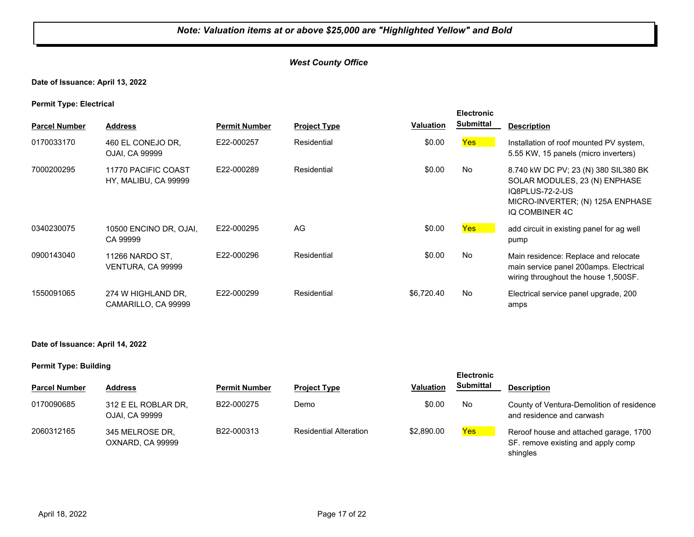## *West County Office*

## **Date of Issuance: April 13, 2022**

**Permit Type: Electrical**

| . .                  |                                             |                      |                     |            | <b>Electronic</b> |                                                                                                                                                |
|----------------------|---------------------------------------------|----------------------|---------------------|------------|-------------------|------------------------------------------------------------------------------------------------------------------------------------------------|
| <b>Parcel Number</b> | <b>Address</b>                              | <b>Permit Number</b> | <b>Project Type</b> | Valuation  | <b>Submittal</b>  | <b>Description</b>                                                                                                                             |
| 0170033170           | 460 EL CONEJO DR,<br>OJAI, CA 99999         | E22-000257           | Residential         | \$0.00     | Yes <sup>1</sup>  | Installation of roof mounted PV system,<br>5.55 KW, 15 panels (micro inverters)                                                                |
| 7000200295           | 11770 PACIFIC COAST<br>HY, MALIBU, CA 99999 | E22-000289           | Residential         | \$0.00     | No.               | 8.740 kW DC PV; 23 (N) 380 SIL380 BK<br>SOLAR MODULES, 23 (N) ENPHASE<br>IQ8PLUS-72-2-US<br>MICRO-INVERTER; (N) 125A ENPHASE<br>IQ COMBINER 4C |
| 0340230075           | 10500 ENCINO DR, OJAI,<br>CA 99999          | E22-000295           | AG                  | \$0.00     | <b>Yes</b>        | add circuit in existing panel for ag well<br>pump                                                                                              |
| 0900143040           | 11266 NARDO ST.<br>VENTURA, CA 99999        | E22-000296           | Residential         | \$0.00     | No                | Main residence: Replace and relocate<br>main service panel 200amps. Electrical<br>wiring throughout the house 1,500SF.                         |
| 1550091065           | 274 W HIGHLAND DR.<br>CAMARILLO, CA 99999   | E22-000299           | Residential         | \$6,720.40 | No                | Electrical service panel upgrade, 200<br>amps                                                                                                  |

#### **Date of Issuance: April 14, 2022**

|                      |                                       |                      |                               |                  | <b>Electronic</b> |                                                                                          |
|----------------------|---------------------------------------|----------------------|-------------------------------|------------------|-------------------|------------------------------------------------------------------------------------------|
| <b>Parcel Number</b> | <b>Address</b>                        | <b>Permit Number</b> | <b>Project Type</b>           | <b>Valuation</b> | <b>Submittal</b>  | <b>Description</b>                                                                       |
| 0170090685           | 312 E EL ROBLAR DR,<br>OJAI, CA 99999 | B22-000275           | Demo                          | \$0.00           | No                | County of Ventura-Demolition of residence<br>and residence and carwash                   |
| 2060312165           | 345 MELROSE DR,<br>OXNARD, CA 99999   | B22-000313           | <b>Residential Alteration</b> | \$2,890.00       | <b>Yes</b>        | Reroof house and attached garage, 1700<br>SF. remove existing and apply comp<br>shingles |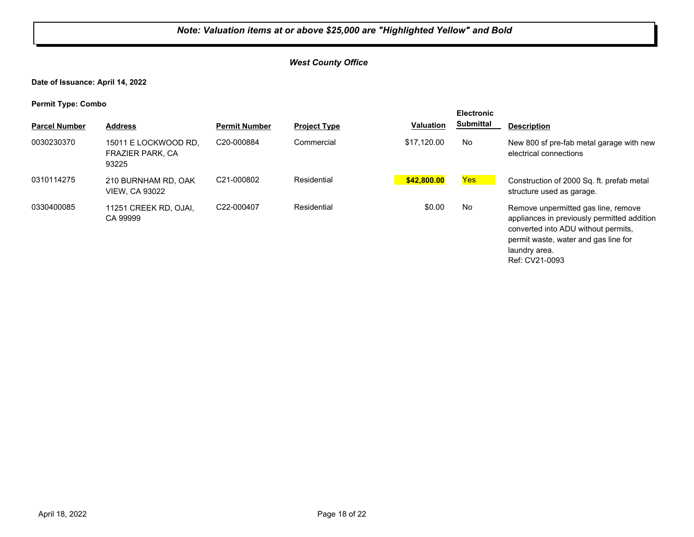## *West County Office*

**Date of Issuance: April 14, 2022**

| <b>Parcel Number</b> | <b>Address</b>                                           | <b>Permit Number</b> | <b>Project Type</b> | <b>Valuation</b> | <b>Electronic</b><br><b>Submittal</b> | <b>Description</b>                                                                                                                                                                                   |
|----------------------|----------------------------------------------------------|----------------------|---------------------|------------------|---------------------------------------|------------------------------------------------------------------------------------------------------------------------------------------------------------------------------------------------------|
| 0030230370           | 15011 E LOCKWOOD RD.<br><b>FRAZIER PARK, CA</b><br>93225 | C20-000884           | Commercial          | \$17.120.00      | No                                    | New 800 sf pre-fab metal garage with new<br>electrical connections                                                                                                                                   |
| 0310114275           | 210 BURNHAM RD. OAK<br><b>VIEW. CA 93022</b>             | C21-000802           | Residential         | \$42,800.00      | Yes                                   | Construction of 2000 Sq. ft. prefab metal<br>structure used as garage.                                                                                                                               |
| 0330400085           | 11251 CREEK RD, OJAI,<br>CA 99999                        | C22-000407           | Residential         | \$0.00           | No                                    | Remove unpermitted gas line, remove<br>appliances in previously permitted addition<br>converted into ADU without permits,<br>permit waste, water and gas line for<br>laundry area.<br>Ref: CV21-0093 |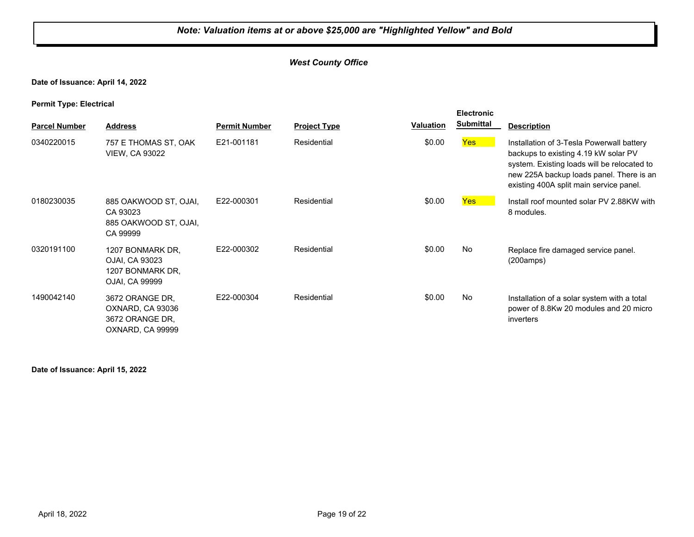## *West County Office*

## **Date of Issuance: April 14, 2022**

**Permit Type: Electrical**

| . .                  |                                                                            |                      |                     |                  | <b>Electronic</b> |                                                                                                                                                                                                                         |
|----------------------|----------------------------------------------------------------------------|----------------------|---------------------|------------------|-------------------|-------------------------------------------------------------------------------------------------------------------------------------------------------------------------------------------------------------------------|
| <b>Parcel Number</b> | <b>Address</b>                                                             | <b>Permit Number</b> | <b>Project Type</b> | <b>Valuation</b> | <b>Submittal</b>  | <b>Description</b>                                                                                                                                                                                                      |
| 0340220015           | 757 E THOMAS ST, OAK<br><b>VIEW, CA 93022</b>                              | E21-001181           | Residential         | \$0.00           | Yes               | Installation of 3-Tesla Powerwall battery<br>backups to existing 4.19 kW solar PV<br>system. Existing loads will be relocated to<br>new 225A backup loads panel. There is an<br>existing 400A split main service panel. |
| 0180230035           | 885 OAKWOOD ST, OJAI,<br>CA 93023<br>885 OAKWOOD ST, OJAI,<br>CA 99999     | E22-000301           | Residential         | \$0.00           | <b>Yes</b>        | Install roof mounted solar PV 2.88KW with<br>8 modules.                                                                                                                                                                 |
| 0320191100           | 1207 BONMARK DR.<br>OJAI, CA 93023<br>1207 BONMARK DR.<br>OJAI, CA 99999   | E22-000302           | Residential         | \$0.00           | No                | Replace fire damaged service panel.<br>(200amps)                                                                                                                                                                        |
| 1490042140           | 3672 ORANGE DR.<br>OXNARD, CA 93036<br>3672 ORANGE DR,<br>OXNARD, CA 99999 | E22-000304           | Residential         | \$0.00           | No                | Installation of a solar system with a total<br>power of 8.8Kw 20 modules and 20 micro<br>inverters                                                                                                                      |

#### **Date of Issuance: April 15, 2022**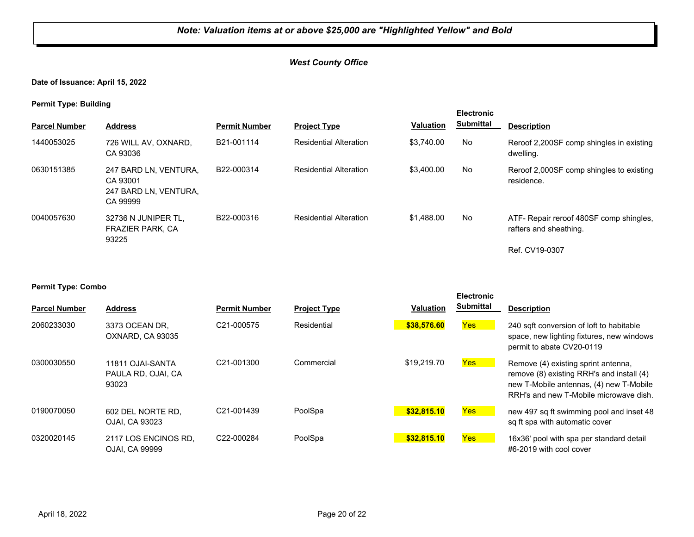## *West County Office*

**Date of Issuance: April 15, 2022**

**Permit Type: Building**

| . .                  |                                                                        |                      |                               |                  | <b>Electronic</b> |                                                                                     |
|----------------------|------------------------------------------------------------------------|----------------------|-------------------------------|------------------|-------------------|-------------------------------------------------------------------------------------|
| <b>Parcel Number</b> | <b>Address</b>                                                         | <b>Permit Number</b> | <b>Project Type</b>           | <b>Valuation</b> | <b>Submittal</b>  | <b>Description</b>                                                                  |
| 1440053025           | 726 WILL AV. OXNARD.<br>CA 93036                                       | B21-001114           | <b>Residential Alteration</b> | \$3.740.00       | No                | Reroof 2,200SF comp shingles in existing<br>dwelling.                               |
| 0630151385           | 247 BARD LN. VENTURA.<br>CA 93001<br>247 BARD LN, VENTURA,<br>CA 99999 | B22-000314           | <b>Residential Alteration</b> | \$3.400.00       | No                | Reroof 2,000SF comp shingles to existing<br>residence.                              |
| 0040057630           | 32736 N JUNIPER TL.<br><b>FRAZIER PARK, CA</b><br>93225                | B22-000316           | <b>Residential Alteration</b> | \$1,488,00       | No                | ATF- Repair reroof 480SF comp shingles,<br>rafters and sheathing.<br>Ref. CV19-0307 |

| <b>Parcel Number</b> | <b>Address</b>                                  | <b>Permit Number</b>    | <b>Project Type</b> | <b>Valuation</b> | <b>Electronic</b><br><b>Submittal</b> | <b>Description</b>                                                                                                                                                    |
|----------------------|-------------------------------------------------|-------------------------|---------------------|------------------|---------------------------------------|-----------------------------------------------------------------------------------------------------------------------------------------------------------------------|
| 2060233030           | 3373 OCEAN DR.<br>OXNARD, CA 93035              | C <sub>21</sub> -000575 | Residential         | \$38,576.60      | Yes                                   | 240 sqft conversion of loft to habitable<br>space, new lighting fixtures, new windows<br>permit to abate CV20-0119                                                    |
| 0300030550           | 11811 OJAI-SANTA<br>PAULA RD, OJAI, CA<br>93023 | C <sub>21</sub> -001300 | Commercial          | \$19,219.70      | <b>Yes</b>                            | Remove (4) existing sprint antenna,<br>remove (8) existing RRH's and install (4)<br>new T-Mobile antennas, (4) new T-Mobile<br>RRH's and new T-Mobile microwave dish. |
| 0190070050           | 602 DEL NORTE RD.<br>OJAI. CA 93023             | C21-001439              | PoolSpa             | \$32,815.10      | <b>Yes</b>                            | new 497 sq ft swimming pool and inset 48<br>sq ft spa with automatic cover                                                                                            |
| 0320020145           | 2117 LOS ENCINOS RD.<br>OJAI, CA 99999          | C22-000284              | PoolSpa             | \$32,815.10      | <b>Yes</b>                            | 16x36' pool with spa per standard detail<br>#6-2019 with cool cover                                                                                                   |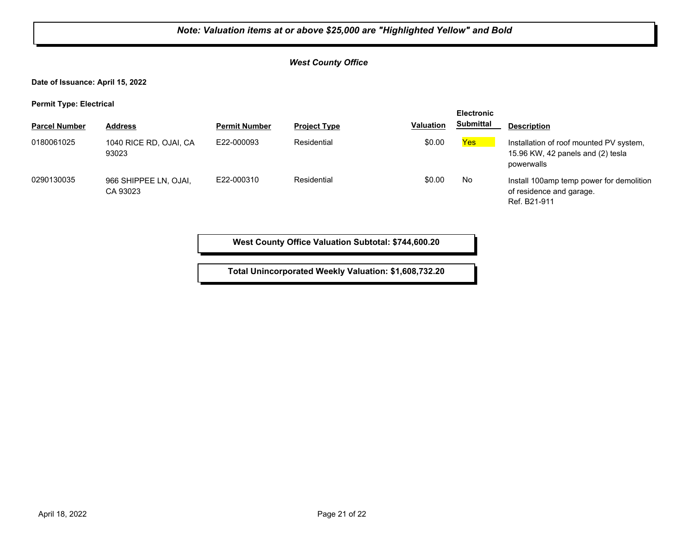## *West County Office*

**Date of Issuance: April 15, 2022**

**Permit Type: Electrical**

| . .                  |                                   |                      |                     |                  | <b>Electronic</b> |                                                                                            |
|----------------------|-----------------------------------|----------------------|---------------------|------------------|-------------------|--------------------------------------------------------------------------------------------|
| <b>Parcel Number</b> | <b>Address</b>                    | <b>Permit Number</b> | <b>Project Type</b> | <b>Valuation</b> | <b>Submittal</b>  | <b>Description</b>                                                                         |
| 0180061025           | 1040 RICE RD, OJAI, CA<br>93023   | E22-000093           | Residential         | \$0.00           | Yes               | Installation of roof mounted PV system,<br>15.96 KW, 42 panels and (2) tesla<br>powerwalls |
| 0290130035           | 966 SHIPPEE LN, OJAI,<br>CA 93023 | E22-000310           | Residential         | \$0.00           | No                | Install 100amp temp power for demolition<br>of residence and garage.<br>Ref. B21-911       |

**West County Office Valuation Subtotal: \$744,600.20**

**Total Unincorporated Weekly Valuation: \$1,608,732.20**